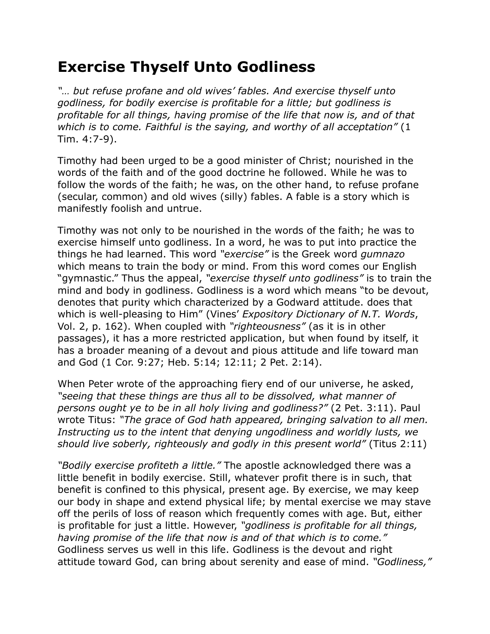## **Exercise Thyself Unto Godliness**

*"… but refuse profane and old wives' fables. And exercise thyself unto godliness, for bodily exercise is profitable for a little; but godliness is profitable for all things, having promise of the life that now is, and of that which is to come. Faithful is the saying, and worthy of all acceptation"* (1 Tim. 4:7-9).

Timothy had been urged to be a good minister of Christ; nourished in the words of the faith and of the good doctrine he followed. While he was to follow the words of the faith; he was, on the other hand, to refuse profane (secular, common) and old wives (silly) fables. A fable is a story which is manifestly foolish and untrue.

Timothy was not only to be nourished in the words of the faith; he was to exercise himself unto godliness. In a word, he was to put into practice the things he had learned. This word *"exercise"* is the Greek word *gumnazo* which means to train the body or mind. From this word comes our English "gymnastic." Thus the appeal, *"exercise thyself unto godliness"* is to train the mind and body in godliness. Godliness is a word which means "to be devout, denotes that purity which characterized by a Godward attitude. does that which is well-pleasing to Him" (Vines' *Expository Dictionary of N.T. Words*, Vol. 2, p. 162). When coupled with *"righteousness"* (as it is in other passages), it has a more restricted application, but when found by itself, it has a broader meaning of a devout and pious attitude and life toward man and God (1 Cor. 9:27; Heb. 5:14; 12:11; 2 Pet. 2:14).

When Peter wrote of the approaching fiery end of our universe, he asked, *"seeing that these things are thus all to be dissolved, what manner of persons ought ye to be in all holy living and godliness?"* (2 Pet. 3:11). Paul wrote Titus: *"The grace of God hath appeared, bringing salvation to all men. Instructing us to the intent that denying ungodliness and worldly lusts, we should live soberly, righteously and godly in this present world"* (Titus 2:11)

*"Bodily exercise profiteth a little."* The apostle acknowledged there was a little benefit in bodily exercise. Still, whatever profit there is in such, that benefit is confined to this physical, present age. By exercise, we may keep our body in shape and extend physical life; by mental exercise we may stave off the perils of loss of reason which frequently comes with age. But, either is profitable for just a little. However, *"godliness is profitable for all things, having promise of the life that now is and of that which is to come."* Godliness serves us well in this life. Godliness is the devout and right attitude toward God, can bring about serenity and ease of mind. *"Godliness,"*